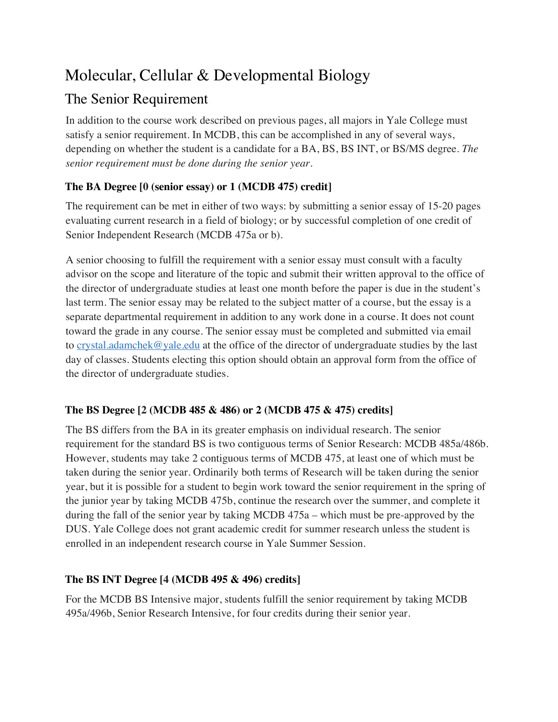# Molecular, Cellular & Developmental Biology

# The Senior Requirement

In addition to the course work described on previous pages, all majors in Yale College must satisfy a senior requirement. In MCDB, this can be accomplished in any of several ways, depending on whether the student is a candidate for a BA, BS, BS INT, or BS/MS degree. *The senior requirement must be done during the senior year.*

## **The BA Degree [0 (senior essay) or 1 (MCDB 475) credit]**

The requirement can be met in either of two ways: by submitting a senior essay of 15-20 pages evaluating current research in a field of biology; or by successful completion of one credit of Senior Independent Research (MCDB 475a or b).

A senior choosing to fulfill the requirement with a senior essay must consult with a faculty advisor on the scope and literature of the topic and submit their written approval to the office of the director of undergraduate studies at least one month before the paper is due in the student's last term. The senior essay may be related to the subject matter of a course, but the essay is a separate departmental requirement in addition to any work done in a course. It does not count toward the grade in any course. The senior essay must be completed and submitted via email to crystal.adamchek@yale.edu at the office of the director of undergraduate studies by the last day of classes. Students electing this option should obtain an approval form from the office of the director of undergraduate studies.

### **The BS Degree [2 (MCDB 485 & 486) or 2 (MCDB 475 & 475) credits]**

The BS differs from the BA in its greater emphasis on individual research. The senior requirement for the standard BS is two contiguous terms of Senior Research: MCDB 485a/486b. However, students may take 2 contiguous terms of MCDB 475, at least one of which must be taken during the senior year. Ordinarily both terms of Research will be taken during the senior year, but it is possible for a student to begin work toward the senior requirement in the spring of the junior year by taking MCDB 475b, continue the research over the summer, and complete it during the fall of the senior year by taking MCDB 475a – which must be pre-approved by the DUS. Yale College does not grant academic credit for summer research unless the student is enrolled in an independent research course in Yale Summer Session.

### **The BS INT Degree [4 (MCDB 495 & 496) credits]**

For the MCDB BS Intensive major, students fulfill the senior requirement by taking MCDB 495a/496b, Senior Research Intensive, for four credits during their senior year.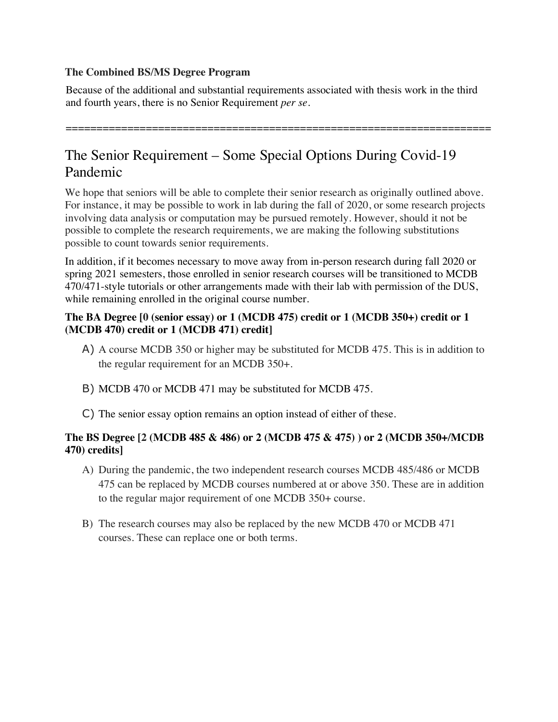### **The Combined BS/MS Degree Program**

Because of the additional and substantial requirements associated with thesis work in the third and fourth years, there is no Senior Requirement *per se*.

=====================================================================

# The Senior Requirement – Some Special Options During Covid-19 Pandemic

We hope that seniors will be able to complete their senior research as originally outlined above. For instance, it may be possible to work in lab during the fall of 2020, or some research projects involving data analysis or computation may be pursued remotely. However, should it not be possible to complete the research requirements, we are making the following substitutions possible to count towards senior requirements.

In addition, if it becomes necessary to move away from in-person research during fall 2020 or spring 2021 semesters, those enrolled in senior research courses will be transitioned to MCDB 470/471-style tutorials or other arrangements made with their lab with permission of the DUS, while remaining enrolled in the original course number.

### **The BA Degree [0 (senior essay) or 1 (MCDB 475) credit or 1 (MCDB 350+) credit or 1 (MCDB 470) credit or 1 (MCDB 471) credit]**

- A) A course MCDB 350 or higher may be substituted for MCDB 475. This is in addition to the regular requirement for an MCDB 350+.
- B) MCDB 470 or MCDB 471 may be substituted for MCDB 475.
- C) The senior essay option remains an option instead of either of these.

### **The BS Degree [2 (MCDB 485 & 486) or 2 (MCDB 475 & 475) ) or 2 (MCDB 350+/MCDB 470) credits]**

- A) During the pandemic, the two independent research courses MCDB 485/486 or MCDB 475 can be replaced by MCDB courses numbered at or above 350. These are in addition to the regular major requirement of one MCDB 350+ course.
- B) The research courses may also be replaced by the new MCDB 470 or MCDB 471 courses. These can replace one or both terms.